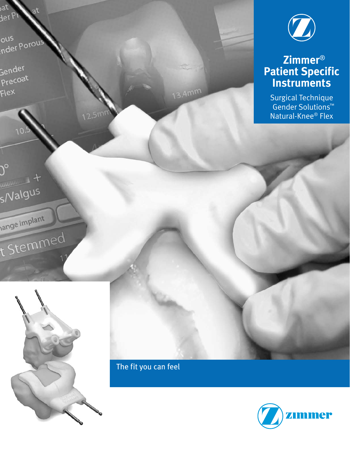

### **Zimmer**® **Patient Specific Instruments**

Surgical Technique Gender Solutions™ Natural-Knee® Flex

ous ous<br><sub>.</sub>nder Porol

at Jer

Gender Precoat

.<br>Flex

 $\mathcal{Y}^{\circ}$ 

 $\frac{1}{\text{minimize}} + \frac{1}{2}$ 

s/Valgus

ange Implant

t Stemmed

Zimmer® Patient Specific Instruments



The fit you can feel with  $\mathbb{C}^n$ 

13.4mm

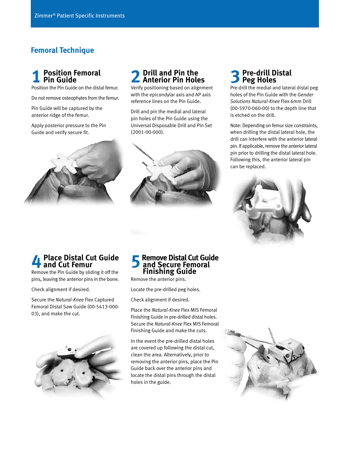#### **Femoral Technique**

# **1 Position Femoral Pin Guide**

Position the Pin Guide on the distal femur.

Do not remove osteophytes from the femur.

Pin Guide will be captured by the anterior ridge of the femur.

Apply posterior pressure to the Pin Guide and verify secure fit.



# **2 Drill and Pin the Anterior Pin Holes**

Verify positioning based on alignment with the epicondylar axis and AP axis reference lines on the Pin Guide.

Drill and pin the medial and lateral pin holes of the Pin Guide using the Universal Disposable Drill and Pin Set (2001-00-000).



#### **3 Pre-drill Distal Peg Holes**

Pre-drill the medial and lateral distal peg holes of the Pin Guide with the *Gender Solutions Natural-Knee* Flex 6mm Drill (00-5970-060-00) to the depth line that is etched on the drill.

Note: Depending on femur size constraints, when drilling the distal lateral hole, the drill can interfere with the anterior lateral pin. If applicable, remove the anterior lateral pin prior to drilling the distal lateral hole. Following this, the anterior lateral pin can be replaced.



# **4 Place Distal Cut Guide and Cut Femur**

Remove the Pin Guide by sliding it off the pins, leaving the anterior pins in the bone.

Check alignment if desired.

Secure the *Natural-Knee* Flex Captured Femoral Distal Saw Guide (00-5413-000- 03), and make the cut.



#### **5 Remove Distal Cut Guide and Secure Femoral Finishing Guide**

Remove the anterior pins.

Locate the pre-drilled peg holes.

Check alignment if desired.

Place the *Natural-Knee* Flex MIS Femoral Finishing Guide in pre-drilled distal holes. Secure the *Natural-Knee* Flex MIS Femoral Finishing Guide and make the cuts.

In the event the pre-drilled distal holes are covered up following the distal cut, clean the area. Alternatively, prior to removing the anterior pins, place the Pin Guide back over the anterior pins and locate the distal pins through the distal holes in the guide.

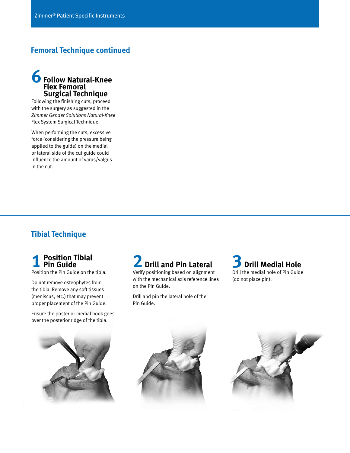#### **Femoral Technique continued**



Following the finishing cuts, proceed with the surgery as suggested in the *Zimmer Gender Solutions Natural-Knee* Flex System Surgical Technique.

When performing the cuts, excessive force (considering the pressure being applied to the guide) on the medial or lateral side of the cut guide could influence the amount of varus/valgus in the cut.

### **Tibial Technique**

#### **1 Position Tibial Pin Guide**

Position the Pin Guide on the tibia.

Do not remove osteophytes from the tibia. Remove any soft tissues (meniscus, etc.) that may prevent proper placement of the Pin Guide.

Ensure the posterior medial hook goes over the posterior ridge of the tibia.



Verify positioning based on alignment with the mechanical axis reference lines on the Pin Guide.

Drill and pin the lateral hole of the Pin Guide.